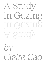# A Study in Gazing In Gazin. A Study

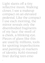Light slants off a tiny reflective moon. Walking closer, I see a makeup compact on an elevated pedestal. Like the compact I use each morning, the mirror reveals only the disembodied fragments of my face: the swell of a cheek, a blinking eye. Pieces of glass like this are used by millions, tools for spotting imperfections and painting on markers of identity. Kohl-rimmed liner during teen emo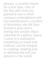phases, a youthful blush for a first date. One of the first gifts from my grandma was a velvet compact embroidered with chrysanthemums, a symbol of femininity she felt dutybound to pass down. Seeing this simple object valorised in a gallery space, I came to a realisation: something so small and ordinary can be integral to creating, shaping and re-defining the self you present to the world.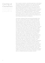## Gazing at **Ourselves** Ourselves Gazing at

How we gaze at ourselves, and others gaze back, is the thread running through *Glass*, curated by Amy Toma and Monisha Chippada. Voyeuristic and playful, the exhibit leans into the mutability and multiplicities of the ego. Jana Ortanez's diptych painting *Between Two Spaces* is defined by the inbetween: figurative portraits of impassive women are layered with abstract limbs. Though the painting appears coherent at first, it is in fact fraught and boundless—one woman's head appears to be swallowed up by the stomach of another; a torso tapers off into a smear of white paint. Elements of dissonance reflect the artist's experience of growing up with both Filipina and Western convergences.

Alternately, Ladstreet's black-and-white photographs show the ways in which identity can be solidified and affirmed. *Die with your boots on* and *Yellow Line For Life* showcase defiant signifiers of punk subcultures: studded boots, tatts of padlocked gates and crosses. But there's also a striking intimacy in these images, gesturing to the artist's personal investment in these markers. For instance, *Yellow Line For Life* features a close up of the words "ACAB" inked on the soft curve of a knee. In the same vein, Gillian Kayrooz's *Argileh at Wedding Cake Rock* expresses the life-affirming nature of culture and community. Documentary-style photographs of a Western Sydney friend group are printed on hanging silk sheets. The title is a satirical nod to the classic novel (and later film) *Picnic at Hanging Rock*, which follows a group of delicate, upper-class white girls vanishing into the sun-bleached Australian landscape. Though this delicacy is reflected in Kayrooz's choice of porous organza materials, her subjects oppose the doomed youth of *Picnic*. They're diverse, bold, vital—wrestling with one another, faces contorted with laughter and passion. Gathered in a suburban backyard, they eat shisha and pizzas from Mina Bakery, a goon sack swinging from a clothesline nearby. Everyone unapologetically follows trends, decked out in spotless kicks. The threatening, harsh sun of *Picnic* is joyous here, battled with 1L water bottles, coolers and broad grins. When I stand at one end, the images become overlaid, like a dusty film negative of memory: faces became so blurred that the figures could've been me and my area friends, wheezing at a stupid joke in a Guildford backyard, one golden summer.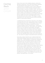# Gazing BackGazing<br>Back

Some of the works in the exhibition directly confront the spectator's projections. Leila Frijat and Monisha Chippada's *The Reverberation Room* features a series of jutting sculptural forms, resembling a cluster of alien stalagmites. Each structure has a hollow opening which picks up on external sounds—a car horn, a whistle, a hello—and mimics them electronically. Things I initially recognise (my voice, my words) become increasingly warped into abrasive, inhuman echoes, similar to the experience of standing within the heart of a real cavern. You enter the cave with the knowledge that any sudden movement or dislodged pebble will be bass-boosted across every surface. This triggers a sudden mindfulness over one's body, movements and environment, aspects we often take for granted.

A heightened sense of awareness is also key to Amy Meng's work *Game Boy Game Gal*, a large plushie made to resemble a handheld gaming console. The felt display of this console shows a woman in her panties, crouched on all fours, evoking the digital women of bishōjo games—dating sims targeted at heterosexual men, where players can experience choose-your-own-adventure relationships with digital women. Meng's tactile use of beads, stitching and sequins creates an image of hyper-femininity that, to me, appeared farcical: the pastel-coloured console seemed fleshy, glittery and soft, all the things players expect of their ideal avatar women. But, ultimately, these women are not real women at all—only mirrors of a player's internalised desires and biases.

Meanwhile, Ondine Manfrin's piece *Svalbard Global Seed Vault [ASMR Roleplay]*, features the artist as the host of an ASMR video—a typical display of whispering, crinkling and tapping, save for the simulated backdrop of the Svalbard Global Seed Vault. The real-life vault lies within an Arctic mountain, housing a backup collection of seeds in case climate disaster destroys our crop diversity. "I have your seeds for you," whispers Manfrin with a gentle smile, shaking the tiny plastic packets. Behind her, the titanic shelves of the vault loom. I feel a surge of panic—in recent years, the doomsday plan of Svalbard has become less speculative, and more of an impending reality. But Manfrin's voice cuts through the terror: "Must be changing so fast out there." Her head blocks the shelves. "I'm not allowed to open the seed packets, only guard them," she soothes.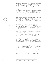Manfrin's work demonstrates how ASMR hosts can become conduits for our turbulent emotions, pacifying intense feelings of dread, while activating states of deep thought and reflection. Similar to "Storytime" ASMR videos, where hosts whisper about brutal murders<sup>1</sup> and the experience of serving jail time<sup>2</sup>, the immersive, parasocial relationships we form with these hosts can allow us to unpack dark anxieties. Sometimes when the world is ending, when total selfannihilation is imminent, you just want someone to whisper that they see you, that it's okay.

My favourite works in Glass both concern the nascent stages of identity. In Bonnie Huang's video work *I AM A SHAPE. YOU ARE A SHAPE. EVERYONE IS A SHAPE. I AM NOT A SHAPE. ARE YOU A SHAPE?* clips from the British program Mister Maker loop over and over. A dancer inside a giant Styrofoam circle announces, "I am a circle" while the triangle dancer sings, "I am a triangle!" Clips from kids' staple *Soupe Opéra* also appear—disparate fruits congregate into impressive new forms, each slice always boasting a purpose. The upbeat repetition of the video reminds me of the way myself, and those around me, often repeat our identities to affirm and manifest them: *I am a \_\_\_\_ from \_\_\_\_. I identify as\_\_\_\_. My parents migrated from \_\_\_\_. I am an aspiring \_\_\_\_ who hopes to one day\_\_\_\_.*

As the video goes on, the bouncy soundtrack deteriorates. The slowed-down narration of *"I AM A SHAPE"* adopts a demonic quality. Straightforward footage becomes perverted. Flowers are injected with blue dye, bubbling like blood from a puncture wound; neat watermelon slices are mashed into pulp and placed inside their original shell. Despite the comfort of children's television, where chaos can be filed into strict categories, growing older comes with the realisation that ultimatums are hazy at best, oppressive at worst. Within societies where scientific and legal classifications have been wielded for racist, ableist and queerphobic purposes, how do we transcend that? What new shapes can we become?

Huang's work leans into the uncertainty of these questions, but there's also an edge of excitement at the thought of transcending traditional bounds. The sense of wonder inherent to learning is embodied by Naomi Segal's *on the* 

#### <sup>1</sup> <https://www.youtube.com/watch?v=ZMvGwDDsbjg>

## How to GazeGaze **HOW TO**

<sup>2</sup> <https://www.youtube.com/watch?v=5QvH5OWa4CE>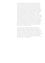*cusp of something*, a small shrine of found objects and mixed-media illustrations. In one drawing, a young figure crouches over a piece of paper, surrounded by extracts from queer literature, First Nations scholarship and selfhelp newsletters. A quote by Julietta Singh is highlighted: "vulnerable reading as an open, continuous practice that resists foreclosures by remaining unremittingly susceptible to new world configurations." Another by Renee Gladman: "flooded with sensations of a sexual nature." In another sequential drawing, the figure wanders down a grassy slope, wading into a body of water. Pinpricks of warm light explode over the surface, floating between the reeds. Segal masterfully captures the wellspring of emotion that comes with reading—particularly for queer readers whose first brush with desire may be discovered between the pages of a book, words that declare oft-silenced feelings. These sacred gems of self-recognition are personified by the nostalgic knick-knacks that decorate the shrine: a rubber ball full of plastic stars, a crystal held in an oyster shell, a rock that could've been found by a lakeside.

As the ink figure in Segal's drawings is transported to sublime new places—the lake, a dream of mist and sky—I remembered days of childhood reading in my suburban bedroom. It would be several years until I would first swim in the sea, but reading made me feel as if I already sliced through an ocean current, had my heart broken, experienced terrifying surges of fear and tenderness. Like all people grappling with who they are, and who they are becoming, I felt on the cusp of something new.